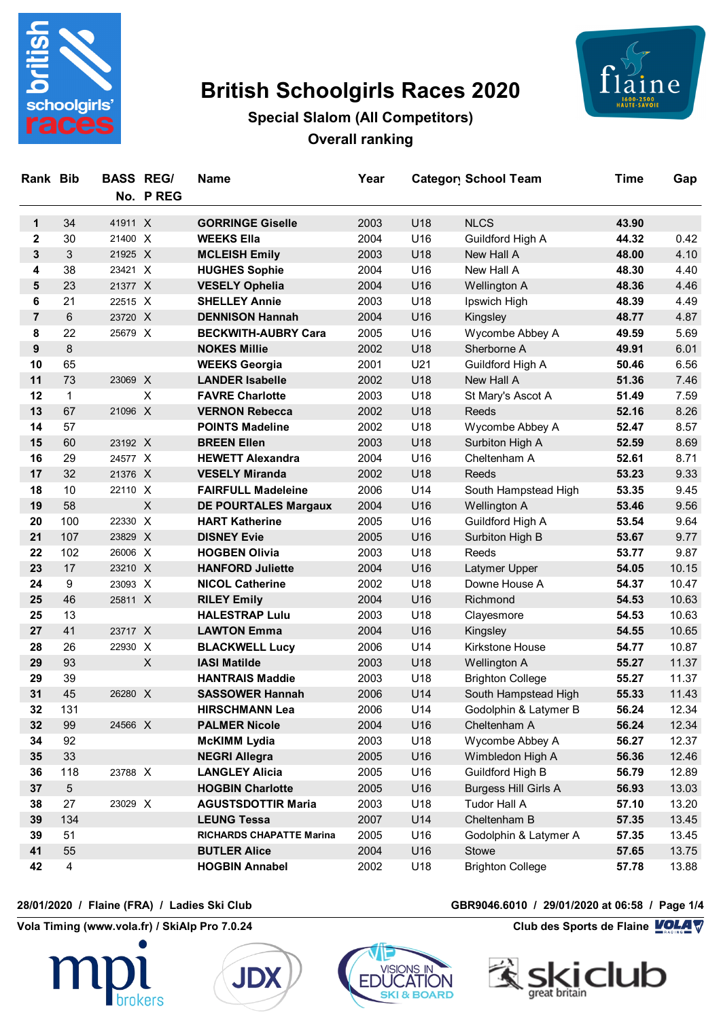

# **British Schoolgirls Races 2020**



# **Special Slalom (All Competitors) Overall ranking**

| Rank Bib       |                | <b>BASS REG/</b> | No. PREG                  | <b>Name</b>                     | Year |     | <b>Category School Team</b> | <b>Time</b> | Gap   |
|----------------|----------------|------------------|---------------------------|---------------------------------|------|-----|-----------------------------|-------------|-------|
| $\mathbf 1$    | 34             | 41911 X          |                           | <b>GORRINGE Giselle</b>         | 2003 | U18 | <b>NLCS</b>                 | 43.90       |       |
| 2              | 30             | 21400 X          |                           | <b>WEEKS Ella</b>               | 2004 | U16 | Guildford High A            | 44.32       | 0.42  |
| 3              | 3              | 21925 X          |                           | <b>MCLEISH Emily</b>            | 2003 | U18 | New Hall A                  | 48.00       | 4.10  |
| 4              | 38             | 23421 X          |                           | <b>HUGHES Sophie</b>            | 2004 | U16 | New Hall A                  | 48.30       | 4.40  |
| 5              | 23             | 21377 X          |                           | <b>VESELY Ophelia</b>           | 2004 | U16 | Wellington A                | 48.36       | 4.46  |
| 6              | 21             | 22515 X          |                           | <b>SHELLEY Annie</b>            | 2003 | U18 | Ipswich High                | 48.39       | 4.49  |
| $\overline{7}$ | $6\phantom{1}$ | 23720 X          |                           | <b>DENNISON Hannah</b>          | 2004 | U16 | Kingsley                    | 48.77       | 4.87  |
| 8              | 22             | 25679 X          |                           | <b>BECKWITH-AUBRY Cara</b>      | 2005 | U16 | Wycombe Abbey A             | 49.59       | 5.69  |
| 9              | 8              |                  |                           | <b>NOKES Millie</b>             | 2002 | U18 | Sherborne A                 | 49.91       | 6.01  |
| 10             | 65             |                  |                           | <b>WEEKS Georgia</b>            | 2001 | U21 | Guildford High A            | 50.46       | 6.56  |
| 11             | 73             | 23069 X          |                           | <b>LANDER Isabelle</b>          | 2002 | U18 | New Hall A                  | 51.36       | 7.46  |
| 12             | $\mathbf{1}$   |                  | X                         | <b>FAVRE Charlotte</b>          | 2003 | U18 | St Mary's Ascot A           | 51.49       | 7.59  |
| 13             | 67             | 21096 X          |                           | <b>VERNON Rebecca</b>           | 2002 | U18 | Reeds                       | 52.16       | 8.26  |
| 14             | 57             |                  |                           | <b>POINTS Madeline</b>          | 2002 | U18 | Wycombe Abbey A             | 52.47       | 8.57  |
| 15             | 60             | 23192 X          |                           | <b>BREEN Ellen</b>              | 2003 | U18 | Surbiton High A             | 52.59       | 8.69  |
| 16             | 29             | 24577 X          |                           | <b>HEWETT Alexandra</b>         | 2004 | U16 | Cheltenham A                | 52.61       | 8.71  |
| 17             | 32             | 21376 X          |                           | <b>VESELY Miranda</b>           | 2002 | U18 | Reeds                       | 53.23       | 9.33  |
| 18             | 10             | 22110 X          |                           | <b>FAIRFULL Madeleine</b>       | 2006 | U14 | South Hampstead High        | 53.35       | 9.45  |
| 19             | 58             |                  | $\boldsymbol{\mathsf{X}}$ | <b>DE POURTALES Margaux</b>     | 2004 | U16 | <b>Wellington A</b>         | 53.46       | 9.56  |
| 20             | 100            | 22330 X          |                           | <b>HART Katherine</b>           | 2005 | U16 | Guildford High A            | 53.54       | 9.64  |
| 21             | 107            | 23829 X          |                           | <b>DISNEY Evie</b>              | 2005 | U16 | Surbiton High B             | 53.67       | 9.77  |
| 22             | 102            | 26006 X          |                           | <b>HOGBEN Olivia</b>            | 2003 | U18 | Reeds                       | 53.77       | 9.87  |
| 23             | 17             | 23210 X          |                           | <b>HANFORD Juliette</b>         | 2004 | U16 | Latymer Upper               | 54.05       | 10.15 |
| 24             | 9              | 23093 X          |                           | <b>NICOL Catherine</b>          | 2002 | U18 | Downe House A               | 54.37       | 10.47 |
| 25             | 46             | 25811 X          |                           | <b>RILEY Emily</b>              | 2004 | U16 | Richmond                    | 54.53       | 10.63 |
| 25             | 13             |                  |                           | <b>HALESTRAP Lulu</b>           | 2003 | U18 | Clayesmore                  | 54.53       | 10.63 |
| 27             | 41             | 23717 X          |                           | <b>LAWTON Emma</b>              | 2004 | U16 | Kingsley                    | 54.55       | 10.65 |
| 28             | 26             | 22930 X          |                           | <b>BLACKWELL Lucy</b>           | 2006 | U14 | <b>Kirkstone House</b>      | 54.77       | 10.87 |
| 29             | 93             |                  | X                         | <b>IASI Matilde</b>             | 2003 | U18 | <b>Wellington A</b>         | 55.27       | 11.37 |
| 29             | 39             |                  |                           | <b>HANTRAIS Maddie</b>          | 2003 | U18 | <b>Brighton College</b>     | 55.27       | 11.37 |
| 31             | 45             | 26280 X          |                           | <b>SASSOWER Hannah</b>          | 2006 | U14 | South Hampstead High        | 55.33       | 11.43 |
| 32             | 131            |                  |                           | <b>HIRSCHMANN Lea</b>           | 2006 | U14 | Godolphin & Latymer B       | 56.24       | 12.34 |
| 32             | 99             | 24566 X          |                           | <b>PALMER Nicole</b>            | 2004 | U16 | Cheltenham A                | 56.24       | 12.34 |
| 34             | 92             |                  |                           | <b>McKIMM Lydia</b>             | 2003 | U18 | Wycombe Abbey A             | 56.27       | 12.37 |
| 35             | 33             |                  |                           | <b>NEGRI Allegra</b>            | 2005 | U16 | Wimbledon High A            | 56.36       | 12.46 |
| 36             | 118            | 23788 X          |                           | <b>LANGLEY Alicia</b>           | 2005 | U16 | Guildford High B            | 56.79       | 12.89 |
| 37             | 5              |                  |                           | <b>HOGBIN Charlotte</b>         | 2005 | U16 | <b>Burgess Hill Girls A</b> | 56.93       | 13.03 |
| 38             | 27             | 23029 X          |                           | <b>AGUSTSDOTTIR Maria</b>       | 2003 | U18 | Tudor Hall A                | 57.10       | 13.20 |
| 39             | 134            |                  |                           | <b>LEUNG Tessa</b>              | 2007 | U14 | Cheltenham B                | 57.35       | 13.45 |
| 39             | 51             |                  |                           | <b>RICHARDS CHAPATTE Marina</b> | 2005 | U16 | Godolphin & Latymer A       | 57.35       | 13.45 |
| 41             | 55             |                  |                           | <b>BUTLER Alice</b>             | 2004 | U16 | Stowe                       | 57.65       | 13.75 |
| 42             | 4              |                  |                           | <b>HOGBIN Annabel</b>           | 2002 | U18 | <b>Brighton College</b>     | 57.78       | 13.88 |

**Vola Timing (www.vola.fr) / SkiAlp Pro 7.0.24 Club des Sports de Flaine VOLA V** 







### **28/01/2020 / Flaine (FRA) / Ladies Ski Club GBR9046.6010 / 29/01/2020 at 06:58 / Page 1/4**

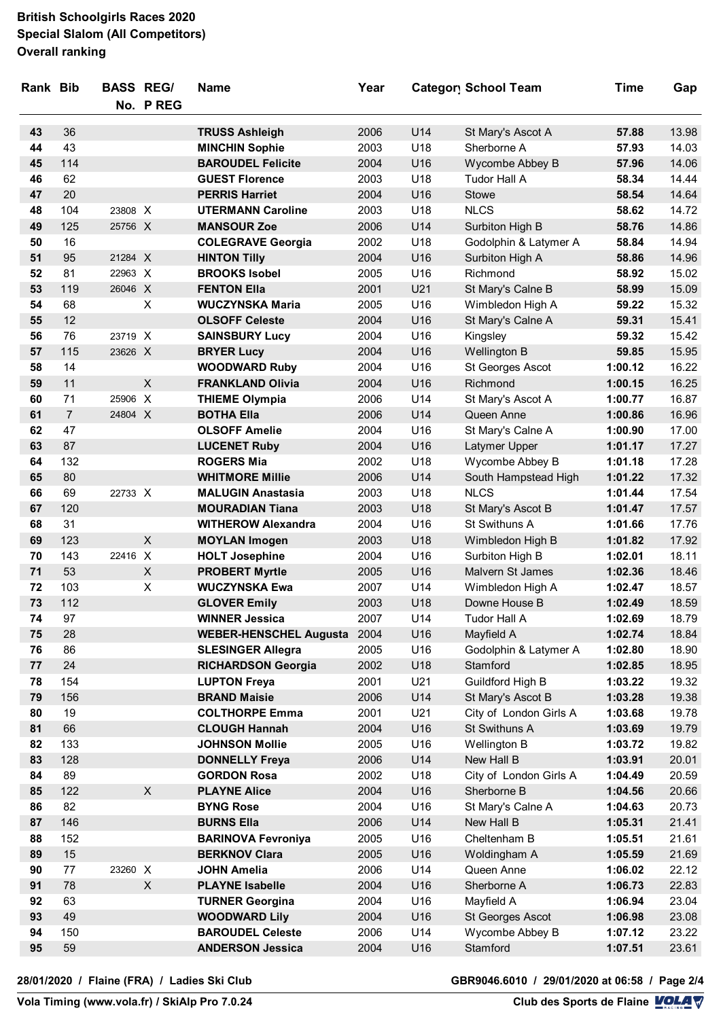# **British Schoolgirls Races 2020 Special Slalom (All Competitors) Overall ranking**

| Rank Bib |                | <b>BASS REG/</b> |                           | <b>Name</b>                                   | Year         |            | Category School Team              | Time               | Gap            |
|----------|----------------|------------------|---------------------------|-----------------------------------------------|--------------|------------|-----------------------------------|--------------------|----------------|
|          |                |                  | No. PREG                  |                                               |              |            |                                   |                    |                |
| 43       | 36             |                  |                           | <b>TRUSS Ashleigh</b>                         | 2006         | U14        | St Mary's Ascot A                 | 57.88              | 13.98          |
| 44       | 43             |                  |                           | <b>MINCHIN Sophie</b>                         | 2003         | U18        | Sherborne A                       | 57.93              | 14.03          |
| 45       | 114            |                  |                           | <b>BAROUDEL Felicite</b>                      | 2004         | U16        | Wycombe Abbey B                   | 57.96              | 14.06          |
| 46       | 62             |                  |                           | <b>GUEST Florence</b>                         | 2003         | U18        | <b>Tudor Hall A</b>               | 58.34              | 14.44          |
| 47       | 20             |                  |                           | <b>PERRIS Harriet</b>                         | 2004         | U16        | Stowe                             | 58.54              | 14.64          |
| 48       | 104            | 23808 X          |                           | <b>UTERMANN Caroline</b>                      | 2003         | U18        | <b>NLCS</b>                       | 58.62              | 14.72          |
| 49       | 125            | 25756 X          |                           | <b>MANSOUR Zoe</b>                            | 2006         | U14        | Surbiton High B                   | 58.76              | 14.86          |
| 50       | 16             |                  |                           | <b>COLEGRAVE Georgia</b>                      | 2002         | U18        | Godolphin & Latymer A             | 58.84              | 14.94          |
| 51       | 95             | 21284 X          |                           | <b>HINTON Tilly</b>                           | 2004         | U16        | Surbiton High A                   | 58.86              | 14.96          |
| 52       | 81             | 22963 X          |                           | <b>BROOKS Isobel</b>                          | 2005         | U16        | Richmond                          | 58.92              | 15.02          |
| 53       | 119            | 26046 X          |                           | <b>FENTON Ella</b>                            | 2001         | U21        | St Mary's Calne B                 | 58.99              | 15.09          |
| 54       | 68             |                  | X                         | <b>WUCZYNSKA Maria</b>                        | 2005         | U16        | Wimbledon High A                  | 59.22              | 15.32          |
| 55       | 12             |                  |                           | <b>OLSOFF Celeste</b>                         | 2004         | U16        | St Mary's Calne A                 | 59.31              | 15.41          |
| 56       | 76             | 23719 X          |                           | <b>SAINSBURY Lucy</b>                         | 2004         | U16        | Kingsley                          | 59.32              | 15.42          |
| 57       | 115            | 23626 X          |                           | <b>BRYER Lucy</b>                             | 2004         | U16        | <b>Wellington B</b>               | 59.85              | 15.95          |
| 58       | 14             |                  |                           | <b>WOODWARD Ruby</b>                          | 2004         | U16        | St Georges Ascot                  | 1:00.12            | 16.22          |
| 59       | 11             |                  | $\boldsymbol{\mathsf{X}}$ | <b>FRANKLAND Olivia</b>                       | 2004         | U16        | Richmond                          | 1:00.15            | 16.25          |
| 60       | 71             | 25906 X          |                           | <b>THIEME Olympia</b>                         | 2006         | U14        | St Mary's Ascot A                 | 1:00.77            | 16.87          |
| 61       | $\overline{7}$ | 24804 X          |                           | <b>BOTHA Ella</b>                             | 2006         | U14        | Queen Anne                        | 1:00.86            | 16.96          |
| 62       | 47             |                  |                           | <b>OLSOFF Amelie</b>                          | 2004         | U16        | St Mary's Calne A                 | 1:00.90            | 17.00          |
| 63       | 87             |                  |                           | <b>LUCENET Ruby</b>                           | 2004         | U16        | Latymer Upper                     | 1:01.17            | 17.27          |
| 64       | 132            |                  |                           | <b>ROGERS Mia</b>                             | 2002         | U18        | Wycombe Abbey B                   | 1:01.18            | 17.28          |
| 65       | 80             |                  |                           | <b>WHITMORE Millie</b>                        | 2006         | U14        | South Hampstead High              | 1:01.22            | 17.32          |
| 66       | 69             | 22733 X          |                           | <b>MALUGIN Anastasia</b>                      | 2003         | U18        | <b>NLCS</b>                       | 1:01.44            | 17.54          |
| 67       | 120            |                  |                           | <b>MOURADIAN Tiana</b>                        | 2003         | U18        | St Mary's Ascot B                 | 1:01.47            | 17.57          |
| 68       | 31             |                  |                           | <b>WITHEROW Alexandra</b>                     | 2004         | U16        | St Swithuns A                     | 1:01.66            | 17.76          |
| 69       | 123            |                  | $\boldsymbol{\mathsf{X}}$ | <b>MOYLAN Imogen</b>                          | 2003         | U18        | Wimbledon High B                  | 1:01.82            | 17.92          |
| 70       | 143            | 22416 X          |                           | <b>HOLT Josephine</b>                         | 2004         | U16        | Surbiton High B                   | 1:02.01            | 18.11          |
| 71<br>72 | 53<br>103      |                  | $\mathsf X$<br>X          | <b>PROBERT Myrtle</b><br><b>WUCZYNSKA Ewa</b> | 2005<br>2007 | U16<br>U14 | Malvern St James                  | 1:02.36<br>1:02.47 | 18.46<br>18.57 |
| 73       | 112            |                  |                           | <b>GLOVER Emily</b>                           | 2003         | U18        | Wimbledon High A<br>Downe House B | 1:02.49            | 18.59          |
| 74       | 97             |                  |                           | <b>WINNER Jessica</b>                         | 2007         | U14        | Tudor Hall A                      | 1:02.69            | 18.79          |
| 75       | 28             |                  |                           | <b>WEBER-HENSCHEL Augusta 2004</b>            |              | U16        | Mayfield A                        | 1:02.74            | 18.84          |
| 76       | 86             |                  |                           | <b>SLESINGER Allegra</b>                      | 2005         | U16        | Godolphin & Latymer A             | 1:02.80            | 18.90          |
| 77       | 24             |                  |                           | <b>RICHARDSON Georgia</b>                     | 2002         | U18        | Stamford                          | 1:02.85            | 18.95          |
| 78       | 154            |                  |                           | <b>LUPTON Freya</b>                           | 2001         | U21        | Guildford High B                  | 1:03.22            | 19.32          |
| 79       | 156            |                  |                           | <b>BRAND Maisie</b>                           | 2006         | U14        | St Mary's Ascot B                 | 1:03.28            | 19.38          |
| 80       | 19             |                  |                           | <b>COLTHORPE Emma</b>                         | 2001         | U21        | City of London Girls A            | 1:03.68            | 19.78          |
| 81       | 66             |                  |                           | <b>CLOUGH Hannah</b>                          | 2004         | U16        | St Swithuns A                     | 1:03.69            | 19.79          |
| 82       | 133            |                  |                           | <b>JOHNSON Mollie</b>                         | 2005         | U16        | Wellington B                      | 1:03.72            | 19.82          |
| 83       | 128            |                  |                           | <b>DONNELLY Freya</b>                         | 2006         | U14        | New Hall B                        | 1:03.91            | 20.01          |
| 84       | 89             |                  |                           | <b>GORDON Rosa</b>                            | 2002         | U18        | City of London Girls A            | 1:04.49            | 20.59          |
| 85       | 122            |                  | X                         | <b>PLAYNE Alice</b>                           | 2004         | U16        | Sherborne B                       | 1:04.56            | 20.66          |
| 86       | 82             |                  |                           | <b>BYNG Rose</b>                              | 2004         | U16        | St Mary's Calne A                 | 1:04.63            | 20.73          |
| 87       | 146            |                  |                           | <b>BURNS Ella</b>                             | 2006         | U14        | New Hall B                        | 1:05.31            | 21.41          |
| 88       | 152            |                  |                           | <b>BARINOVA Fevroniya</b>                     | 2005         | U16        | Cheltenham B                      | 1:05.51            | 21.61          |
| 89       | 15             |                  |                           | <b>BERKNOV Clara</b>                          | 2005         | U16        | Woldingham A                      | 1:05.59            | 21.69          |
| 90       | 77             | 23260 X          |                           | <b>JOHN Amelia</b>                            | 2006         | U14        | Queen Anne                        | 1:06.02            | 22.12          |
| 91       | 78             |                  | X                         | <b>PLAYNE Isabelle</b>                        | 2004         | U16        | Sherborne A                       | 1:06.73            | 22.83          |
| 92       | 63             |                  |                           | <b>TURNER Georgina</b>                        | 2004         | U16        | Mayfield A                        | 1:06.94            | 23.04          |
| 93       | 49             |                  |                           | <b>WOODWARD Lily</b>                          | 2004         | U16        | St Georges Ascot                  | 1:06.98            | 23.08          |
| 94       | 150            |                  |                           | <b>BAROUDEL Celeste</b>                       | 2006         | U14        | Wycombe Abbey B                   | 1:07.12            | 23.22          |
| 95       | 59             |                  |                           | <b>ANDERSON Jessica</b>                       | 2004         | U16        | Stamford                          | 1:07.51            | 23.61          |

**VolaSoftControlPdf 28/01/2020 / Flaine (FRA) / Ladies Ski Club GBR9046.6010 / 29/01/2020 at 06:58 / Page 2/4**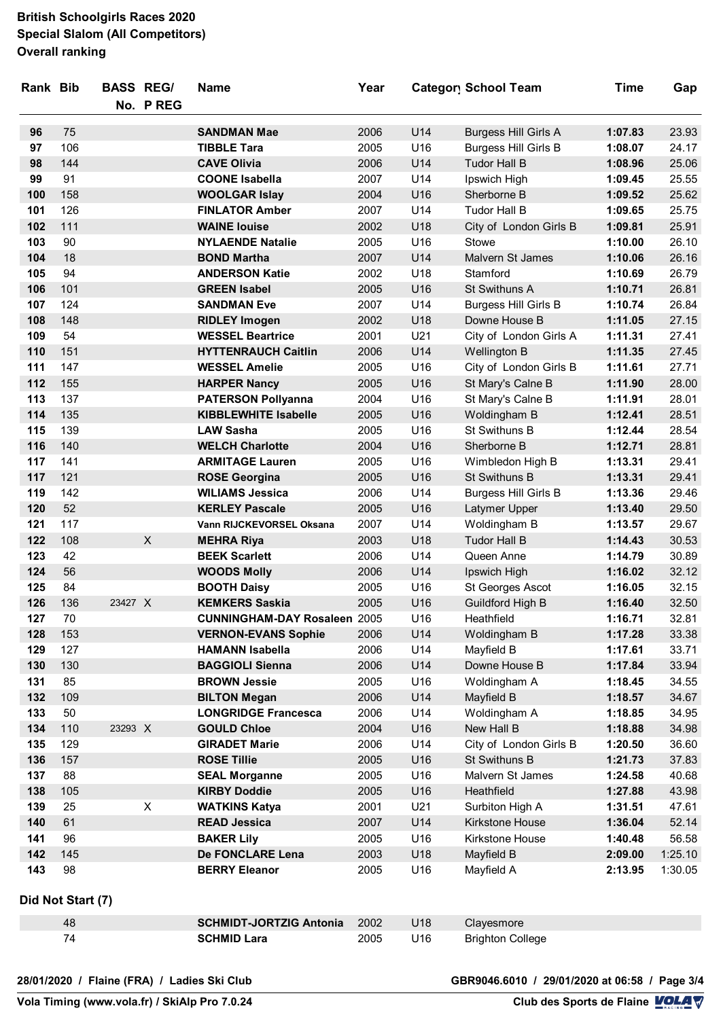# **British Schoolgirls Races 2020 Special Slalom (All Competitors) Overall ranking**

| Rank Bib          |          | <b>BASS REGI</b> | No. PREG | <b>Name</b>                                 | Year         |            | <b>Category School Team</b>        | <b>Time</b>        | Gap            |
|-------------------|----------|------------------|----------|---------------------------------------------|--------------|------------|------------------------------------|--------------------|----------------|
| 96                | 75       |                  |          | <b>SANDMAN Mae</b>                          | 2006         | U14        | <b>Burgess Hill Girls A</b>        | 1:07.83            | 23.93          |
| 97                | 106      |                  |          | <b>TIBBLE Tara</b>                          | 2005         | U16        | <b>Burgess Hill Girls B</b>        | 1:08.07            | 24.17          |
| 98                | 144      |                  |          | <b>CAVE Olivia</b>                          | 2006         | U14        | <b>Tudor Hall B</b>                | 1:08.96            | 25.06          |
| 99                | 91       |                  |          | <b>COONE Isabella</b>                       | 2007         | U14        | Ipswich High                       | 1:09.45            | 25.55          |
| 100               | 158      |                  |          | <b>WOOLGAR Islay</b>                        | 2004         | U16        | Sherborne B                        | 1:09.52            | 25.62          |
| 101               | 126      |                  |          | <b>FINLATOR Amber</b>                       | 2007         | U14        | <b>Tudor Hall B</b>                | 1:09.65            | 25.75          |
| 102               | 111      |                  |          | <b>WAINE louise</b>                         | 2002         | U18        | City of London Girls B             | 1:09.81            | 25.91          |
| 103               | 90       |                  |          | <b>NYLAENDE Natalie</b>                     | 2005         | U16        | Stowe                              | 1:10.00            | 26.10          |
| 104               | 18       |                  |          | <b>BOND Martha</b>                          | 2007         | U14        | <b>Malvern St James</b>            | 1:10.06            | 26.16          |
| 105               | 94       |                  |          | <b>ANDERSON Katie</b>                       | 2002         | U18        | Stamford                           | 1:10.69            | 26.79          |
| 106               | 101      |                  |          | <b>GREEN Isabel</b>                         | 2005         | U16        | St Swithuns A                      | 1:10.71            | 26.81          |
| 107               | 124      |                  |          | <b>SANDMAN Eve</b>                          | 2007         | U14        | <b>Burgess Hill Girls B</b>        | 1:10.74            | 26.84          |
| 108               | 148      |                  |          | <b>RIDLEY Imogen</b>                        | 2002         | U18        | Downe House B                      | 1:11.05            | 27.15          |
| 109               | 54       |                  |          | <b>WESSEL Beartrice</b>                     | 2001         | U21        | City of London Girls A             | 1:11.31            | 27.41          |
| 110               | 151      |                  |          | <b>HYTTENRAUCH Caitlin</b>                  | 2006         | U14        | Wellington B                       | 1:11.35            | 27.45          |
| 111               | 147      |                  |          | <b>WESSEL Amelie</b>                        | 2005         | U16        | City of London Girls B             | 1:11.61            | 27.71          |
| 112               | 155      |                  |          | <b>HARPER Nancy</b>                         | 2005         | U16        | St Mary's Calne B                  | 1:11.90            | 28.00          |
| 113               | 137      |                  |          | <b>PATERSON Pollyanna</b>                   | 2004         | U16        | St Mary's Calne B                  | 1:11.91            | 28.01          |
| 114               | 135      |                  |          | <b>KIBBLEWHITE Isabelle</b>                 | 2005         | U16        | Woldingham B                       | 1:12.41            | 28.51          |
| 115               | 139      |                  |          | <b>LAW Sasha</b>                            | 2005         | U16        | St Swithuns B                      | 1:12.44            | 28.54          |
| 116               | 140      |                  |          | <b>WELCH Charlotte</b>                      | 2004         | U16        | Sherborne B                        | 1:12.71            | 28.81          |
| 117               | 141      |                  |          | <b>ARMITAGE Lauren</b>                      | 2005         | U16        | Wimbledon High B                   | 1:13.31            | 29.41          |
| 117               | 121      |                  |          | <b>ROSE Georgina</b>                        | 2005         | U16        | St Swithuns B                      | 1:13.31            | 29.41          |
| 119               | 142      |                  |          | <b>WILIAMS Jessica</b>                      | 2006         | U14        | <b>Burgess Hill Girls B</b>        | 1:13.36            | 29.46          |
| 120               | 52       |                  |          | <b>KERLEY Pascale</b>                       | 2005         | U16        | Latymer Upper                      | 1:13.40            | 29.50          |
| 121               | 117      |                  |          | Vann RIJCKEVORSEL Oksana                    | 2007         | U14        | Woldingham B                       | 1:13.57            | 29.67          |
| 122               | 108      |                  | X        | <b>MEHRA Riya</b>                           | 2003         | U18        | <b>Tudor Hall B</b>                | 1:14.43            | 30.53          |
| 123               | 42       |                  |          | <b>BEEK Scarlett</b>                        | 2006         | U14        | Queen Anne                         | 1:14.79            | 30.89          |
| 124               | 56       |                  |          | <b>WOODS Molly</b>                          | 2006         | U14        | Ipswich High                       | 1:16.02            | 32.12          |
| 125               | 84       |                  |          | <b>BOOTH Daisy</b>                          | 2005         | U16        | St Georges Ascot                   | 1:16.05            | 32.15          |
| 126               | 136      | 23427 X          |          | <b>KEMKERS Saskia</b>                       | 2005         | U16        | Guildford High B                   | 1:16.40            | 32.50          |
| 127               | 70       |                  |          | <b>CUNNINGHAM-DAY Rosaleen 2005</b>         |              | U16        | Heathfield                         | 1:16.71            | 32.81          |
| 128               | 153      |                  |          | <b>VERNON-EVANS Sophie</b>                  | 2006         | U14        | Woldingham B                       | 1:17.28            | 33.38          |
| 129               | 127      |                  |          | <b>HAMANN Isabella</b>                      | 2006         | U14        | Mayfield B                         | 1:17.61            | 33.71          |
| 130               | 130      |                  |          | <b>BAGGIOLI Sienna</b>                      | 2006         | U14        | Downe House B                      | 1:17.84            | 33.94          |
| 131               | 85       |                  |          | <b>BROWN Jessie</b>                         | 2005         | U16        | Woldingham A                       | 1:18.45            | 34.55          |
| 132               | 109      |                  |          | <b>BILTON Megan</b>                         | 2006         | U14        | Mayfield B                         | 1:18.57            | 34.67          |
| 133               | 50       |                  |          | <b>LONGRIDGE Francesca</b>                  | 2006         | U14        | Woldingham A                       | 1:18.85            | 34.95          |
| 134               | 110      | 23293 X          |          | <b>GOULD Chloe</b>                          | 2004         | U16        | New Hall B                         | 1:18.88            | 34.98          |
| 135               | 129      |                  |          | <b>GIRADET Marie</b>                        | 2006         | U14        | City of London Girls B             | 1:20.50            | 36.60          |
| 136               | 157      |                  |          | <b>ROSE Tillie</b>                          | 2005         | U16        | St Swithuns B<br>Malvern St James  | 1:21.73            | 37.83          |
| 137               | 88       |                  |          | <b>SEAL Morganne</b>                        | 2005         | U16        |                                    | 1:24.58            | 40.68          |
| 138               | 105      |                  |          | <b>KIRBY Doddie</b>                         | 2005         | U16        | Heathfield                         | 1:27.88            | 43.98          |
| 139<br>140        | 25<br>61 |                  | Χ        | <b>WATKINS Katya</b><br><b>READ Jessica</b> | 2001<br>2007 | U21        | Surbiton High A<br>Kirkstone House | 1:31.51<br>1:36.04 | 47.61          |
| 141               | 96       |                  |          |                                             | 2005         | U14<br>U16 | Kirkstone House                    | 1:40.48            | 52.14<br>56.58 |
| 142               | 145      |                  |          | <b>BAKER Lily</b><br>De FONCLARE Lena       | 2003         | U18        |                                    | 2:09.00            |                |
| 143               |          |                  |          |                                             |              |            | Mayfield B                         |                    | 1:25.10        |
|                   | 98       |                  |          | <b>BERRY Eleanor</b>                        | 2005         | U16        | Mayfield A                         | 2:13.95            | 1:30.05        |
| Did Not Start (7) |          |                  |          |                                             |              |            |                                    |                    |                |
|                   | 48       |                  |          | <b>SCHMIDT-JORTZIG Antonia</b>              | 2002         | U18        | Clayesmore                         |                    |                |
|                   | 74       |                  |          | <b>SCHMID Lara</b>                          | 2005         | U16        | <b>Brighton College</b>            |                    |                |